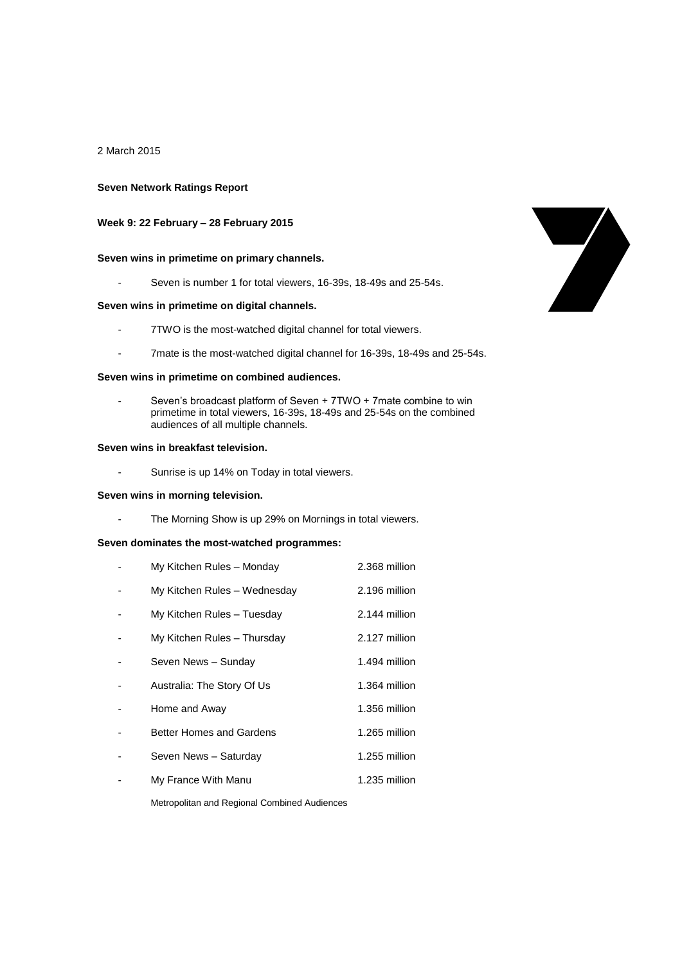### 2 March 2015

### **Seven Network Ratings Report**

### **Week 9: 22 February – 28 February 2015**

### **Seven wins in primetime on primary channels.**

- Seven is number 1 for total viewers, 16-39s, 18-49s and 25-54s.

## **Seven wins in primetime on digital channels.**

- 7TWO is the most-watched digital channel for total viewers.
- 7mate is the most-watched digital channel for 16-39s, 18-49s and 25-54s.

### **Seven wins in primetime on combined audiences.**

Seven's broadcast platform of Seven + 7TWO + 7mate combine to win primetime in total viewers, 16-39s, 18-49s and 25-54s on the combined audiences of all multiple channels.

### **Seven wins in breakfast television.**

- Sunrise is up 14% on Today in total viewers.

### **Seven wins in morning television.**

- The Morning Show is up 29% on Mornings in total viewers.

### **Seven dominates the most-watched programmes:**

| My Kitchen Rules - Monday    | 2.368 million |
|------------------------------|---------------|
| My Kitchen Rules - Wednesday | 2.196 million |
| My Kitchen Rules - Tuesday   | 2.144 million |
| My Kitchen Rules - Thursday  | 2.127 million |
| Seven News - Sunday          | 1.494 million |
| Australia: The Story Of Us   | 1.364 million |
| Home and Away                | 1.356 million |
| Better Homes and Gardens     | 1.265 million |
| Seven News - Saturday        | 1.255 million |
| My France With Manu          | 1.235 million |

Metropolitan and Regional Combined Audiences

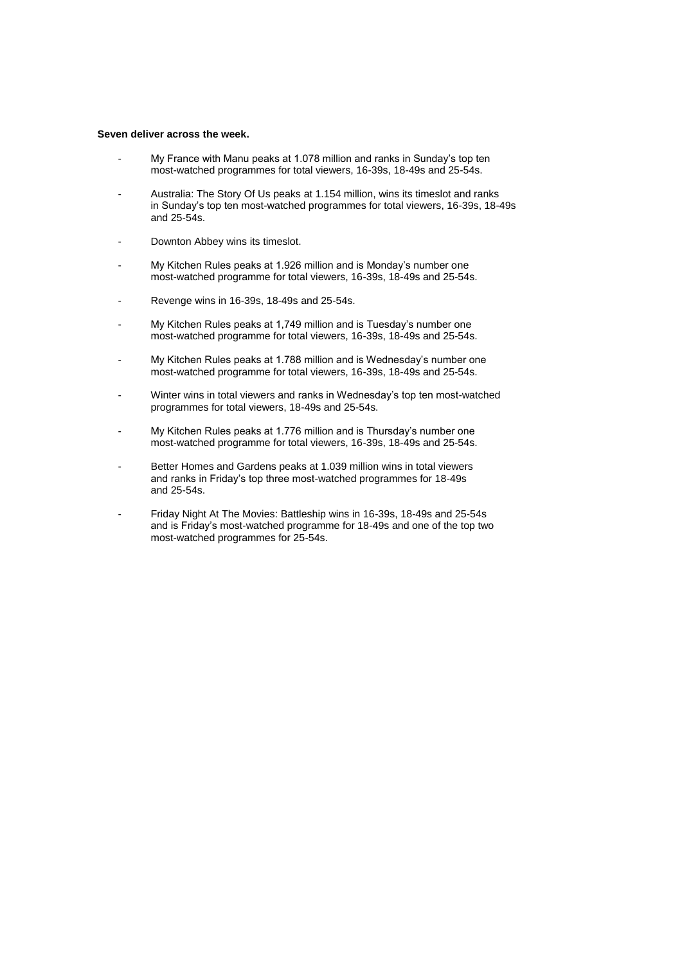### **Seven deliver across the week.**

- My France with Manu peaks at 1.078 million and ranks in Sunday's top ten most-watched programmes for total viewers, 16-39s, 18-49s and 25-54s.
- Australia: The Story Of Us peaks at 1.154 million, wins its timeslot and ranks in Sunday's top ten most-watched programmes for total viewers, 16-39s, 18-49s and 25-54s.
- Downton Abbey wins its timeslot.
- My Kitchen Rules peaks at 1.926 million and is Monday's number one most-watched programme for total viewers, 16-39s, 18-49s and 25-54s.
- Revenge wins in 16-39s, 18-49s and 25-54s.
- My Kitchen Rules peaks at 1,749 million and is Tuesday's number one most-watched programme for total viewers, 16-39s, 18-49s and 25-54s.
- My Kitchen Rules peaks at 1.788 million and is Wednesday's number one most-watched programme for total viewers, 16-39s, 18-49s and 25-54s.
- Winter wins in total viewers and ranks in Wednesday's top ten most-watched programmes for total viewers, 18-49s and 25-54s.
- My Kitchen Rules peaks at 1.776 million and is Thursday's number one most-watched programme for total viewers, 16-39s, 18-49s and 25-54s.
- Better Homes and Gardens peaks at 1.039 million wins in total viewers and ranks in Friday's top three most-watched programmes for 18-49s and 25-54s.
- Friday Night At The Movies: Battleship wins in 16-39s, 18-49s and 25-54s and is Friday's most-watched programme for 18-49s and one of the top two most-watched programmes for 25-54s.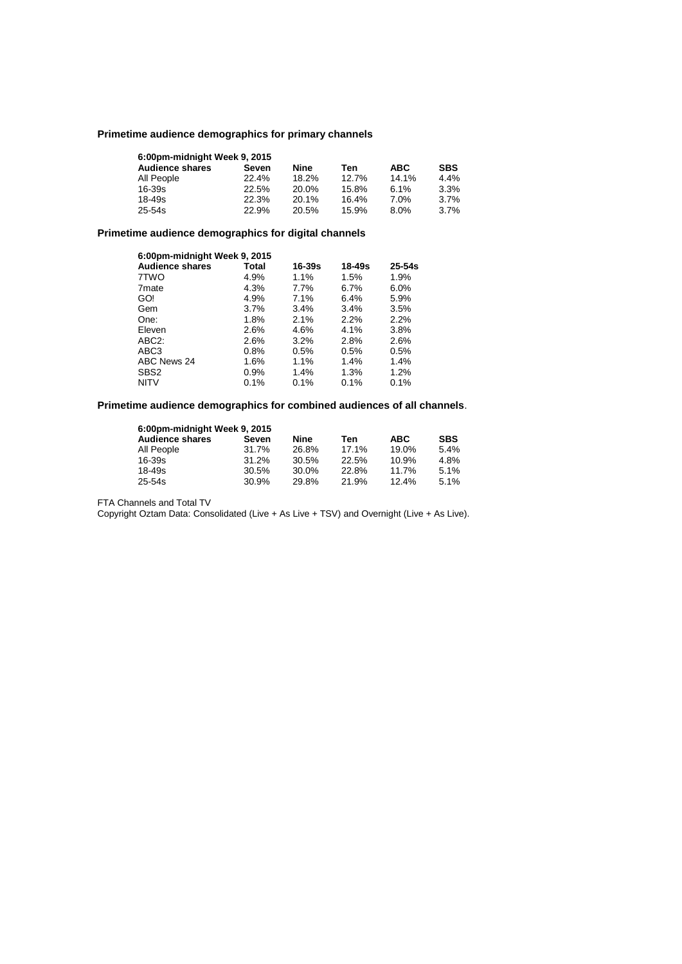## **Primetime audience demographics for primary channels**

| 6:00pm-midnight Week 9, 2015 |       |       |       |            |            |  |  |
|------------------------------|-------|-------|-------|------------|------------|--|--|
| <b>Audience shares</b>       | Seven | Nine  | Ten   | <b>ABC</b> | <b>SBS</b> |  |  |
| All People                   | 22.4% | 18.2% | 12.7% | 14.1%      | 4.4%       |  |  |
| $16 - 39s$                   | 22.5% | 20.0% | 15.8% | 6.1%       | 3.3%       |  |  |
| $18 - 49s$                   | 22.3% | 20.1% | 16.4% | 7.0%       | 3.7%       |  |  |
| 25-54s                       | 22.9% | 20.5% | 15.9% | 8.0%       | 3.7%       |  |  |

## **Primetime audience demographics for digital channels**

| 6:00pm-midnight Week 9, 2015 |         |        |            |            |  |  |
|------------------------------|---------|--------|------------|------------|--|--|
| <b>Audience shares</b>       | Total   | 16-39s | $18 - 49s$ | $25 - 54s$ |  |  |
| 7TWO                         | 4.9%    | 1.1%   | 1.5%       | 1.9%       |  |  |
| 7 <sub>mate</sub>            | 4.3%    | 7.7%   | 6.7%       | 6.0%       |  |  |
| GO!                          | 4.9%    | 7.1%   | 6.4%       | 5.9%       |  |  |
| Gem                          | 3.7%    | 3.4%   | 3.4%       | 3.5%       |  |  |
| One:                         | 1.8%    | 2.1%   | 2.2%       | 2.2%       |  |  |
| Eleven                       | 2.6%    | 4.6%   | 4.1%       | 3.8%       |  |  |
| ABC <sub>2</sub> :           | 2.6%    | 3.2%   | 2.8%       | 2.6%       |  |  |
| ABC3                         | 0.8%    | 0.5%   | 0.5%       | 0.5%       |  |  |
| ABC News 24                  | 1.6%    | 1.1%   | 1.4%       | 1.4%       |  |  |
| SBS <sub>2</sub>             | $0.9\%$ | 1.4%   | 1.3%       | 1.2%       |  |  |
| <b>NITV</b>                  | $0.1\%$ | 0.1%   | 0.1%       | 0.1%       |  |  |

## **Primetime audience demographics for combined audiences of all channels**.

| 6:00pm-midnight Week 9, 2015 |       |       |       |       |            |  |  |
|------------------------------|-------|-------|-------|-------|------------|--|--|
| <b>Audience shares</b>       | Seven | Nine  | Ten   | ABC   | <b>SBS</b> |  |  |
| All People                   | 31.7% | 26.8% | 17.1% | 19.0% | 5.4%       |  |  |
| $16 - 39s$                   | 31.2% | 30.5% | 22.5% | 10.9% | 4.8%       |  |  |
| 18-49s                       | 30.5% | 30.0% | 22.8% | 11.7% | 5.1%       |  |  |
| 25-54s                       | 30.9% | 29.8% | 21.9% | 12.4% | 5.1%       |  |  |

FTA Channels and Total TV

Copyright Oztam Data: Consolidated (Live + As Live + TSV) and Overnight (Live + As Live).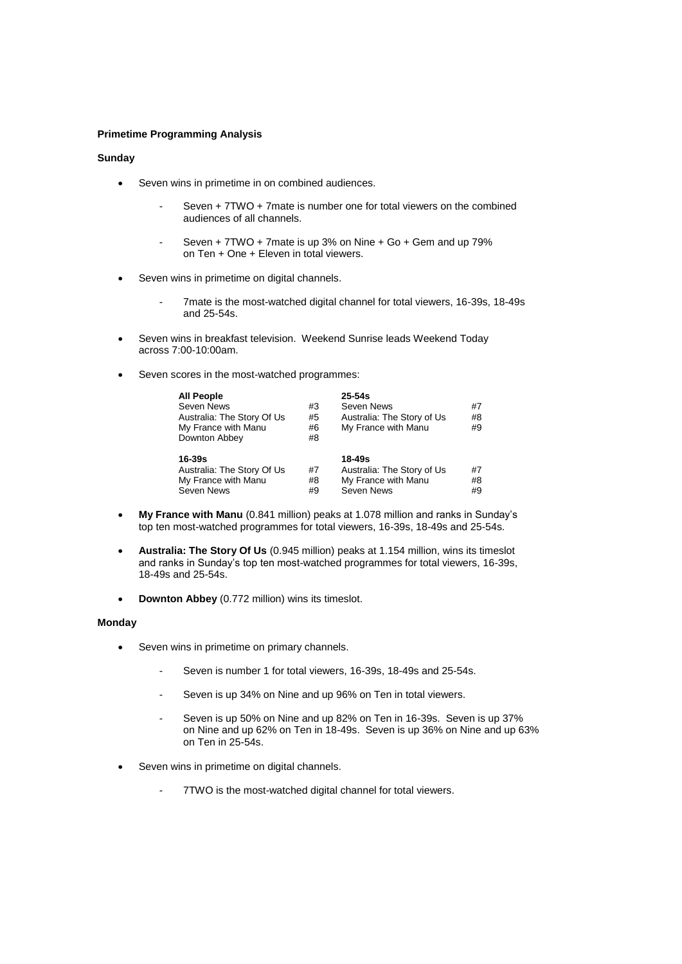### **Primetime Programming Analysis**

## **Sunday**

- Seven wins in primetime in on combined audiences.
	- Seven + 7TWO + 7mate is number one for total viewers on the combined audiences of all channels.
	- Seven + 7TWO + 7mate is up 3% on Nine + Go + Gem and up 79% on Ten + One + Eleven in total viewers.
- Seven wins in primetime on digital channels.
	- 7mate is the most-watched digital channel for total viewers, 16-39s, 18-49s and 25-54s.
- Seven wins in breakfast television. Weekend Sunrise leads Weekend Today across 7:00-10:00am.
- Seven scores in the most-watched programmes:

| <b>All People</b><br><b>Seven News</b><br>Australia: The Story Of Us<br>My France with Manu<br>Downton Abbey | #3<br>#5<br>#6<br>#8 | $25 - 54s$<br>Seven News<br>Australia: The Story of Us<br>My France with Manu | #7<br>#8<br>#9 |
|--------------------------------------------------------------------------------------------------------------|----------------------|-------------------------------------------------------------------------------|----------------|
| $16 - 39s$<br>Australia: The Story Of Us<br>My France with Manu<br>Seven News                                | #7<br>#8<br>#9       | 18-49s<br>Australia: The Story of Us<br>My France with Manu<br>Seven News     | #7<br>#8<br>#9 |

- **My France with Manu** (0.841 million) peaks at 1.078 million and ranks in Sunday's top ten most-watched programmes for total viewers, 16-39s, 18-49s and 25-54s.
- **Australia: The Story Of Us** (0.945 million) peaks at 1.154 million, wins its timeslot and ranks in Sunday's top ten most-watched programmes for total viewers, 16-39s, 18-49s and 25-54s.
- **Downton Abbey** (0.772 million) wins its timeslot.

### **Monday**

- Seven wins in primetime on primary channels.
	- Seven is number 1 for total viewers, 16-39s, 18-49s and 25-54s.
	- Seven is up 34% on Nine and up 96% on Ten in total viewers.
	- Seven is up 50% on Nine and up 82% on Ten in 16-39s. Seven is up 37% on Nine and up 62% on Ten in 18-49s. Seven is up 36% on Nine and up 63% on Ten in 25-54s.
- Seven wins in primetime on digital channels.
	- 7TWO is the most-watched digital channel for total viewers.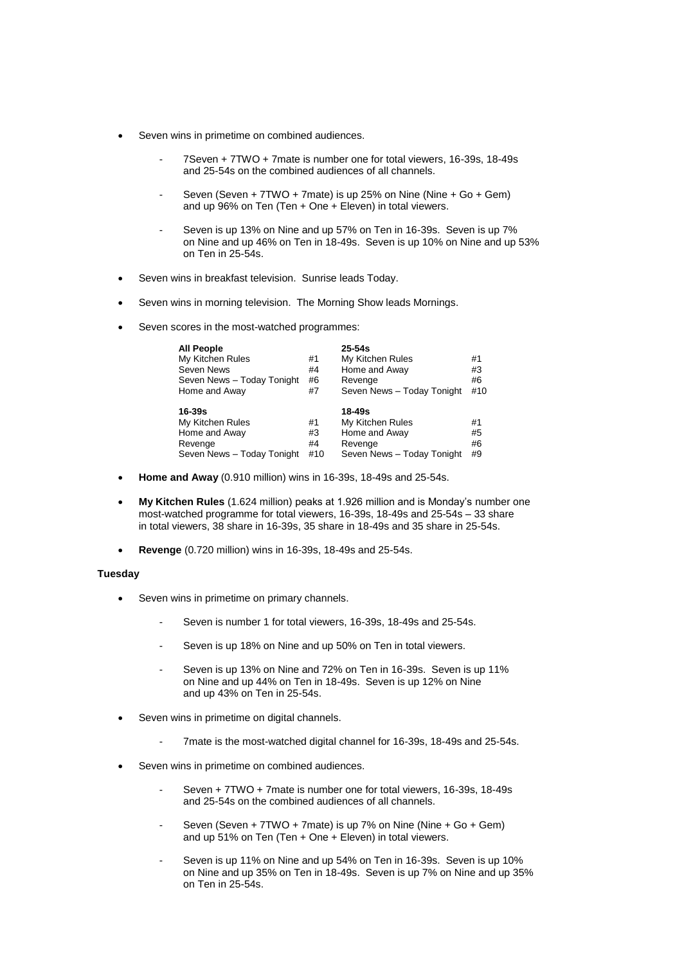- Seven wins in primetime on combined audiences.
	- 7Seven + 7TWO + 7mate is number one for total viewers, 16-39s, 18-49s and 25-54s on the combined audiences of all channels.
	- Seven (Seven + 7TWO + 7mate) is up 25% on Nine (Nine + Go + Gem) and up 96% on Ten (Ten + One + Eleven) in total viewers.
	- Seven is up 13% on Nine and up 57% on Ten in 16-39s. Seven is up 7% on Nine and up 46% on Ten in 18-49s. Seven is up 10% on Nine and up 53% on Ten in 25-54s.
- Seven wins in breakfast television. Sunrise leads Today.
- Seven wins in morning television. The Morning Show leads Mornings.
- Seven scores in the most-watched programmes:

| <b>All People</b><br>My Kitchen Rules<br>Seven News<br>Seven News - Today Tonight<br>Home and Away | #1<br>#4<br>#6<br>#7  | $25 - 54s$<br>My Kitchen Rules<br>Home and Away<br>Revenge<br>Seven News - Today Tonight | #1<br>#3<br>#6<br>#10 |
|----------------------------------------------------------------------------------------------------|-----------------------|------------------------------------------------------------------------------------------|-----------------------|
| $16 - 39s$<br>My Kitchen Rules<br>Home and Away<br>Revenge<br>Seven News - Today Tonight           | #1<br>#3<br>#4<br>#10 | 18-49s<br>My Kitchen Rules<br>Home and Away<br>Revenge<br>Seven News - Today Tonight     | #1<br>#5<br>#6<br>#9  |

- **Home and Away** (0.910 million) wins in 16-39s, 18-49s and 25-54s.
- **My Kitchen Rules** (1.624 million) peaks at 1.926 million and is Monday's number one most-watched programme for total viewers, 16-39s, 18-49s and 25-54s – 33 share in total viewers, 38 share in 16-39s, 35 share in 18-49s and 35 share in 25-54s.
- **Revenge** (0.720 million) wins in 16-39s, 18-49s and 25-54s.

### **Tuesday**

- Seven wins in primetime on primary channels.
	- Seven is number 1 for total viewers, 16-39s, 18-49s and 25-54s.
	- Seven is up 18% on Nine and up 50% on Ten in total viewers.
	- Seven is up 13% on Nine and 72% on Ten in 16-39s. Seven is up 11% on Nine and up 44% on Ten in 18-49s. Seven is up 12% on Nine and up 43% on Ten in 25-54s.
- Seven wins in primetime on digital channels.
	- 7mate is the most-watched digital channel for 16-39s, 18-49s and 25-54s.
- Seven wins in primetime on combined audiences.
	- Seven + 7TWO + 7mate is number one for total viewers, 16-39s, 18-49s and 25-54s on the combined audiences of all channels.
	- Seven (Seven + 7TWO + 7mate) is up 7% on Nine (Nine + Go + Gem) and up  $51\%$  on Ten (Ten + One + Eleven) in total viewers.
	- Seven is up 11% on Nine and up 54% on Ten in 16-39s. Seven is up 10% on Nine and up 35% on Ten in 18-49s. Seven is up 7% on Nine and up 35% on Ten in 25-54s.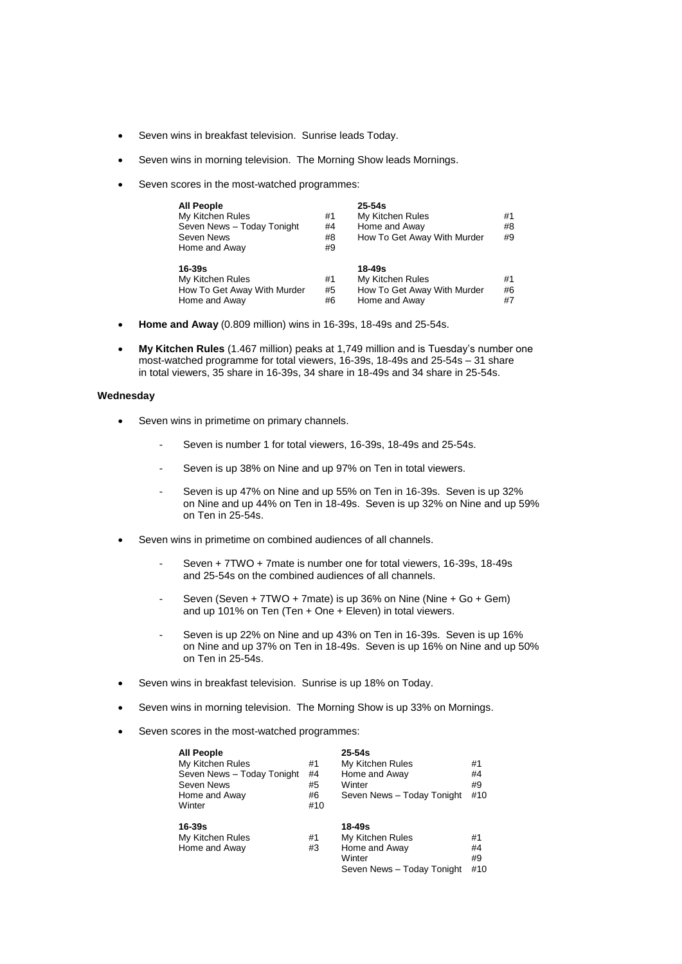- Seven wins in breakfast television. Sunrise leads Today.
- Seven wins in morning television. The Morning Show leads Mornings.
- Seven scores in the most-watched programmes:

| <b>All People</b><br>My Kitchen Rules<br>Seven News - Today Tonight<br>Seven News<br>Home and Away | #1<br>#4<br>#8<br>#9 | $25 - 54s$<br>My Kitchen Rules<br>Home and Away<br>How To Get Away With Murder | #1<br>#8<br>#9 |
|----------------------------------------------------------------------------------------------------|----------------------|--------------------------------------------------------------------------------|----------------|
| $16 - 39s$<br>My Kitchen Rules<br>How To Get Away With Murder<br>Home and Away                     | #1<br>#5<br>#6       | 18-49s<br>My Kitchen Rules<br>How To Get Away With Murder<br>Home and Away     | #1<br>#6<br>#7 |

- **Home and Away** (0.809 million) wins in 16-39s, 18-49s and 25-54s.
- **My Kitchen Rules** (1.467 million) peaks at 1,749 million and is Tuesday's number one most-watched programme for total viewers, 16-39s, 18-49s and 25-54s – 31 share in total viewers, 35 share in 16-39s, 34 share in 18-49s and 34 share in 25-54s.

## **Wednesday**

- Seven wins in primetime on primary channels.
	- Seven is number 1 for total viewers, 16-39s, 18-49s and 25-54s.
	- Seven is up 38% on Nine and up 97% on Ten in total viewers.
	- Seven is up 47% on Nine and up 55% on Ten in 16-39s. Seven is up 32% on Nine and up 44% on Ten in 18-49s. Seven is up 32% on Nine and up 59% on Ten in 25-54s.
- Seven wins in primetime on combined audiences of all channels.
	- Seven + 7TWO + 7mate is number one for total viewers, 16-39s, 18-49s and 25-54s on the combined audiences of all channels.
	- Seven (Seven + 7TWO + 7mate) is up 36% on Nine (Nine + Go + Gem) and up 101% on Ten (Ten + One + Eleven) in total viewers.
	- Seven is up 22% on Nine and up 43% on Ten in 16-39s. Seven is up 16% on Nine and up 37% on Ten in 18-49s. Seven is up 16% on Nine and up 50% on Ten in 25-54s.
- Seven wins in breakfast television. Sunrise is up 18% on Today.
- Seven wins in morning television. The Morning Show is up 33% on Mornings.
- Seven scores in the most-watched programmes:

| <b>All People</b><br>My Kitchen Rules<br>Seven News - Today Tonight<br>Seven News<br>Home and Away<br>Winter | #1<br>#4<br>#5<br>#6<br>#10 | $25 - 54s$<br>My Kitchen Rules<br>Home and Away<br>Winter<br>Seven News - Today Tonight | #1<br>#4<br>#9<br>#10 |
|--------------------------------------------------------------------------------------------------------------|-----------------------------|-----------------------------------------------------------------------------------------|-----------------------|
| 16-39s<br>My Kitchen Rules<br>Home and Away                                                                  | #1<br>#3                    | 18-49s<br>My Kitchen Rules<br>Home and Away<br>Winter<br>Seven News - Today Tonight     | #1<br>#4<br>#9<br>#10 |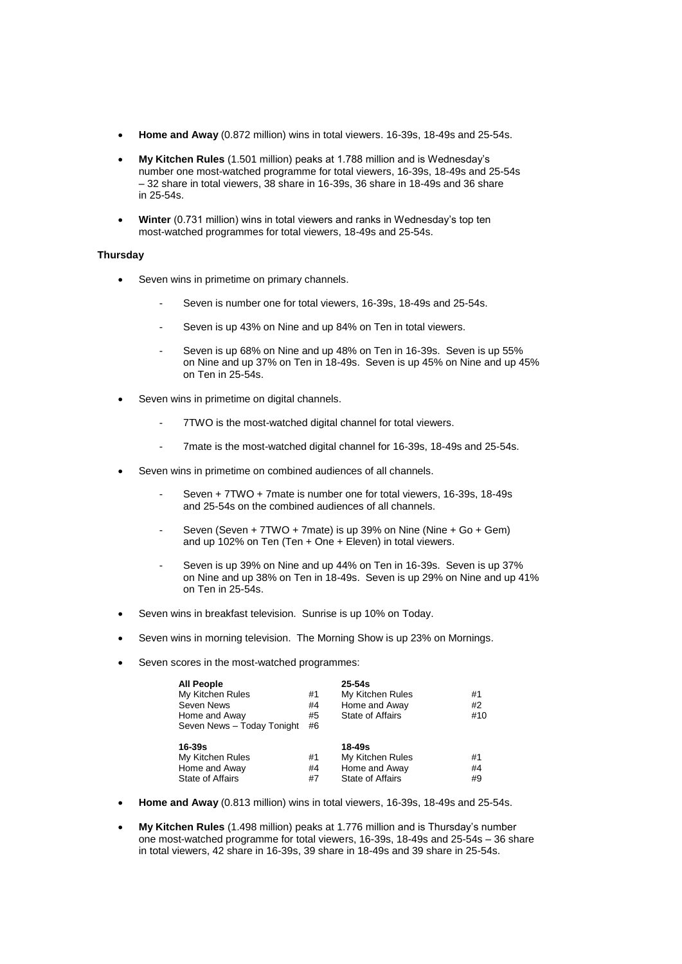- **Home and Away** (0.872 million) wins in total viewers. 16-39s, 18-49s and 25-54s.
- **My Kitchen Rules** (1.501 million) peaks at 1.788 million and is Wednesday's number one most-watched programme for total viewers, 16-39s, 18-49s and 25-54s – 32 share in total viewers, 38 share in 16-39s, 36 share in 18-49s and 36 share in 25-54s.
- **Winter** (0.731 million) wins in total viewers and ranks in Wednesday's top ten most-watched programmes for total viewers, 18-49s and 25-54s.

### **Thursday**

- Seven wins in primetime on primary channels.
	- Seven is number one for total viewers, 16-39s, 18-49s and 25-54s.
	- Seven is up 43% on Nine and up 84% on Ten in total viewers.
	- Seven is up 68% on Nine and up 48% on Ten in 16-39s. Seven is up 55% on Nine and up 37% on Ten in 18-49s. Seven is up 45% on Nine and up 45% on Ten in 25-54s.
- Seven wins in primetime on digital channels.
	- 7TWO is the most-watched digital channel for total viewers.
	- 7mate is the most-watched digital channel for 16-39s, 18-49s and 25-54s.
- Seven wins in primetime on combined audiences of all channels.
	- Seven + 7TWO + 7mate is number one for total viewers, 16-39s, 18-49s and 25-54s on the combined audiences of all channels.
	- Seven (Seven + 7TWO + 7mate) is up 39% on Nine (Nine + Go + Gem) and up 102% on Ten (Ten + One + Eleven) in total viewers.
	- Seven is up 39% on Nine and up 44% on Ten in 16-39s. Seven is up 37% on Nine and up 38% on Ten in 18-49s. Seven is up 29% on Nine and up 41% on Ten in 25-54s.
- Seven wins in breakfast television. Sunrise is up 10% on Today.
- Seven wins in morning television. The Morning Show is up 23% on Mornings.
- Seven scores in the most-watched programmes:

| <b>All People</b><br>My Kitchen Rules<br>Seven News<br>Home and Away<br>Seven News - Today Tonight | #1<br>#4<br>#5<br>#6 | $25 - 54s$<br>My Kitchen Rules<br>Home and Away<br>State of Affairs | #1<br>#2<br>#10 |
|----------------------------------------------------------------------------------------------------|----------------------|---------------------------------------------------------------------|-----------------|
| $16 - 39s$<br>My Kitchen Rules<br>Home and Away<br>State of Affairs                                | #1<br>#4<br>#7       | 18-49s<br>My Kitchen Rules<br>Home and Away<br>State of Affairs     | #1<br>#4<br>#9  |

- **Home and Away** (0.813 million) wins in total viewers, 16-39s, 18-49s and 25-54s.
- **My Kitchen Rules** (1.498 million) peaks at 1.776 million and is Thursday's number one most-watched programme for total viewers, 16-39s, 18-49s and 25-54s – 36 share in total viewers, 42 share in 16-39s, 39 share in 18-49s and 39 share in 25-54s.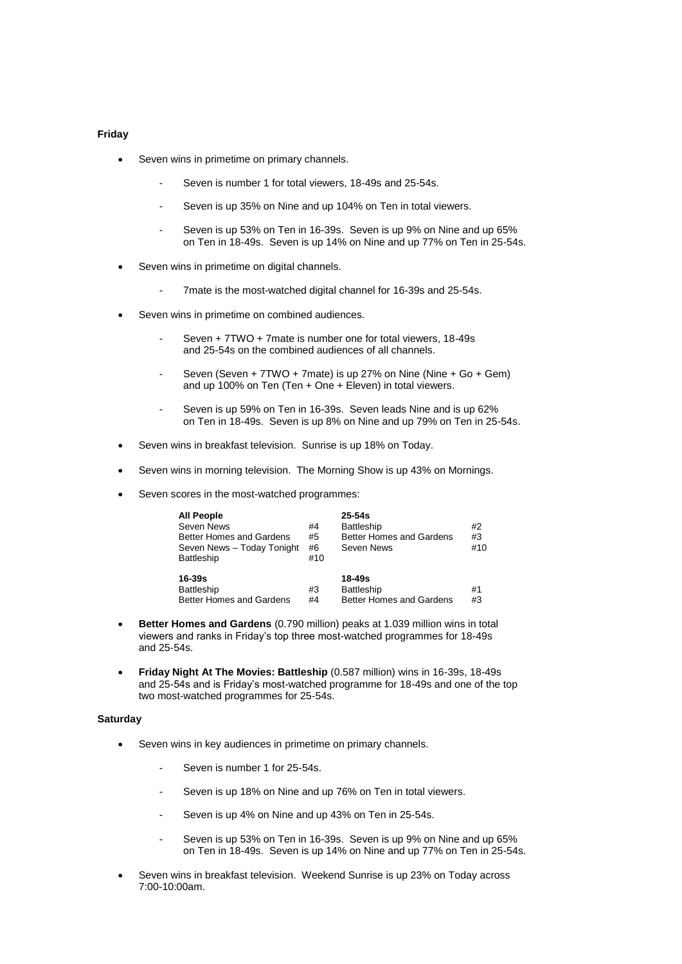#### **Friday**

- Seven wins in primetime on primary channels.
	- Seven is number 1 for total viewers, 18-49s and 25-54s.
	- Seven is up 35% on Nine and up 104% on Ten in total viewers.
	- Seven is up 53% on Ten in 16-39s. Seven is up 9% on Nine and up 65% on Ten in 18-49s. Seven is up 14% on Nine and up 77% on Ten in 25-54s.
- Seven wins in primetime on digital channels.
	- 7mate is the most-watched digital channel for 16-39s and 25-54s.
- Seven wins in primetime on combined audiences.
	- Seven + 7TWO + 7mate is number one for total viewers, 18-49s and 25-54s on the combined audiences of all channels.
	- Seven (Seven + 7TWO + 7mate) is up 27% on Nine (Nine + Go + Gem) and up 100% on Ten (Ten + One + Eleven) in total viewers.
	- Seven is up 59% on Ten in 16-39s. Seven leads Nine and is up 62% on Ten in 18-49s. Seven is up 8% on Nine and up 79% on Ten in 25-54s.
- Seven wins in breakfast television. Sunrise is up 18% on Today.
- Seven wins in morning television. The Morning Show is up 43% on Mornings.
- Seven scores in the most-watched programmes:

| <b>All People</b><br>Seven News<br>Better Homes and Gardens<br>Seven News - Today Tonight<br><b>Battleship</b> | #4<br>#5<br>#6<br>#10 | $25 - 54s$<br><b>Battleship</b><br>Better Homes and Gardens<br>Seven News | #2<br>#3<br>#10 |
|----------------------------------------------------------------------------------------------------------------|-----------------------|---------------------------------------------------------------------------|-----------------|
| $16 - 39s$<br><b>Battleship</b><br>Better Homes and Gardens                                                    | #3<br>#4              | 18-49s<br><b>Battleship</b><br>Better Homes and Gardens                   | #1<br>#3        |

- **Better Homes and Gardens** (0.790 million) peaks at 1.039 million wins in total viewers and ranks in Friday's top three most-watched programmes for 18-49s and 25-54s.
- **Friday Night At The Movies: Battleship** (0.587 million) wins in 16-39s, 18-49s and 25-54s and is Friday's most-watched programme for 18-49s and one of the top two most-watched programmes for 25-54s.

#### **Saturday**

- Seven wins in key audiences in primetime on primary channels.
	- Seven is number 1 for 25-54s.
	- Seven is up 18% on Nine and up 76% on Ten in total viewers.
	- Seven is up 4% on Nine and up 43% on Ten in 25-54s.
	- Seven is up 53% on Ten in 16-39s. Seven is up 9% on Nine and up 65% on Ten in 18-49s. Seven is up 14% on Nine and up 77% on Ten in 25-54s.
- Seven wins in breakfast television. Weekend Sunrise is up 23% on Today across 7:00-10:00am.